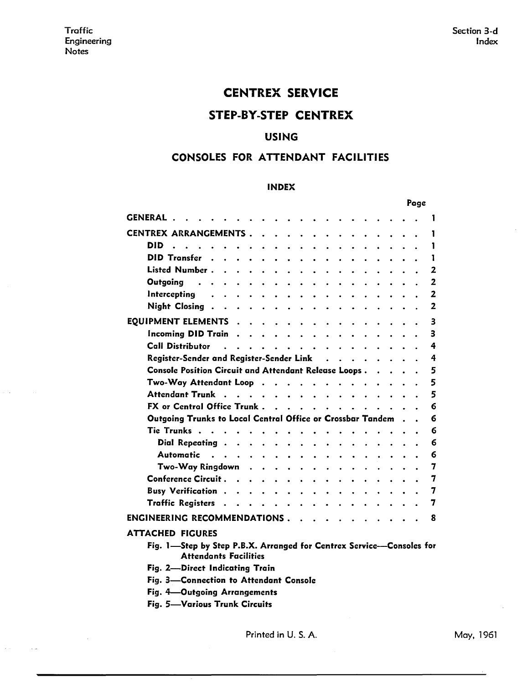## **CENTREX SERVICE**

## **STEP-BY-STEP CENTREX**

## USING

## CONSOLES FOR ATTENDANT FACILITIES

## INDEX

|                                |                                                                                                      |                                    |                             |                      |                           |                      |                                                                                                                                     |                      |                           |                      |                                                         |              |                      |                      |                           |           | Page      |    |
|--------------------------------|------------------------------------------------------------------------------------------------------|------------------------------------|-----------------------------|----------------------|---------------------------|----------------------|-------------------------------------------------------------------------------------------------------------------------------------|----------------------|---------------------------|----------------------|---------------------------------------------------------|--------------|----------------------|----------------------|---------------------------|-----------|-----------|----|
|                                | <b>GENERAL</b> .                                                                                     |                                    |                             |                      |                           |                      |                                                                                                                                     |                      |                           |                      |                                                         |              |                      |                      |                           |           |           | ı  |
|                                | <b>CENTREX ARRANGEMENTS.</b>                                                                         |                                    |                             |                      |                           |                      |                                                                                                                                     | $\sim$               |                           |                      |                                                         |              |                      |                      |                           |           |           | 1. |
|                                | DID<br>$\cdots$                                                                                      |                                    |                             | $\ddot{\phantom{0}}$ | $\ddot{\phantom{a}}$      | $\ddot{\phantom{a}}$ | $\bullet$                                                                                                                           | $\sim$               | $\mathbf{z}$ .            | $\ddot{\phantom{0}}$ | $\bullet$                                               |              |                      |                      |                           |           |           | 1  |
|                                | DID Transfer.                                                                                        | $\sim$                             |                             | $\sim$               | $\mathbf{r}$              | $\sim$               | $\overline{a}$                                                                                                                      | $\sim$               | $\mathbf{A}^{\text{max}}$ | $\bullet$            |                                                         |              |                      |                      |                           |           |           | 1  |
|                                | Listed Number.                                                                                       | $\sim$                             |                             | $\ddot{\phantom{a}}$ | $\bullet$                 | $\bullet$            | $\ddot{\phantom{0}}$                                                                                                                | $\ddot{\phantom{a}}$ | $\ddot{\phantom{0}}$      | $\bullet$            |                                                         | $\bullet$    |                      |                      |                           |           |           | 2  |
|                                | Outgoing<br>$\overline{\phantom{a}}$                                                                 |                                    |                             |                      |                           | $\bullet$            |                                                                                                                                     | $\bullet$            |                           | $\bullet$            |                                                         |              |                      |                      |                           |           |           | 2  |
|                                | Intercepting                                                                                         |                                    |                             | $\ddot{\phantom{0}}$ |                           |                      |                                                                                                                                     | $\bullet$            | $\bullet$                 | $\bullet$            |                                                         |              |                      |                      |                           |           |           | 2  |
|                                | Night Closing.                                                                                       | $\sim$                             | $\blacksquare$ .            |                      |                           | $\sim$ $\sim$        |                                                                                                                                     |                      |                           |                      |                                                         |              |                      |                      |                           |           |           | 2  |
|                                | <b>EQUIPMENT ELEMENTS.</b>                                                                           |                                    |                             |                      |                           |                      | $\begin{array}{cccccccccccccc} \bullet & \bullet & \bullet & \bullet & \bullet & \bullet & \bullet & \bullet & \bullet \end{array}$ |                      |                           |                      | $\sim 10^{-1}$ and $\sim 10^{-1}$                       |              | $\bullet$            | $\bullet$            | $\bullet$                 | $\bullet$ |           | 3  |
|                                | Incoming DID Train.                                                                                  |                                    |                             |                      |                           |                      | $\cdots$                                                                                                                            |                      |                           |                      | $\sim$ $\sim$                                           |              | $\mathbf{r}$         | $\ddot{\phantom{0}}$ | $\mathbf{L}$              |           |           | 3  |
|                                | Call Distributor                                                                                     |                                    | $\sim$ $\sim$ $\sim$ $\sim$ |                      | $\ddot{\phantom{0}}$      | $\ddot{\phantom{a}}$ |                                                                                                                                     |                      | $\ddot{\phantom{a}}$      | $\bullet$            | $\mathbf{L}$                                            | $\bullet$    |                      |                      |                           |           |           | 4  |
|                                | Register-Sender and Register-Sender Link .                                                           |                                    |                             |                      |                           |                      |                                                                                                                                     |                      |                           |                      |                                                         | $\mathbf{r}$ | $\ddot{\phantom{a}}$ |                      |                           |           |           | 4  |
|                                | Console Position Circuit and Attendant Release Loops.                                                |                                    |                             |                      |                           |                      |                                                                                                                                     |                      |                           |                      |                                                         |              |                      |                      | $\sim$ $\sim$             |           |           | 5  |
|                                | Two-Way Attendant Loop                                                                               |                                    |                             |                      |                           |                      |                                                                                                                                     |                      |                           |                      |                                                         |              |                      |                      | $\mathbf{L}$              |           |           | 5  |
|                                | Attendant Trunk                                                                                      |                                    |                             |                      |                           |                      |                                                                                                                                     |                      |                           |                      |                                                         |              |                      |                      |                           |           |           | 5  |
|                                | FX or Central Office Trunk.                                                                          |                                    |                             |                      |                           |                      |                                                                                                                                     | $\ddot{\phantom{0}}$ | $\mathbf{r}$              |                      | $\mathbf{L}^{\text{max}}$ and $\mathbf{L}^{\text{max}}$ | $\mathbf{a}$ | $\mathbf{r}$         |                      | $\mathbf{r} = \mathbf{r}$ |           |           | 6  |
|                                | Outgoing Trunks to Local Central Office or Crossbar Tandem.                                          |                                    |                             |                      |                           |                      |                                                                                                                                     |                      |                           |                      |                                                         |              |                      |                      |                           |           |           | 6  |
|                                | Tie Trunks                                                                                           |                                    |                             |                      |                           | $\ddot{\phantom{a}}$ |                                                                                                                                     |                      |                           |                      |                                                         |              |                      |                      |                           |           | $\bullet$ | 6  |
|                                | Dial Repeating                                                                                       |                                    |                             |                      |                           |                      |                                                                                                                                     |                      |                           |                      | $\ddot{\phantom{a}}$                                    |              |                      |                      |                           |           |           | 6  |
|                                | Automatic                                                                                            | $\sim$ $\sim$ $\sim$ $\sim$ $\sim$ |                             |                      | $\mathbf{A}^{\text{max}}$ | $\sim$               | $\mathbf{A}^{\text{max}}$                                                                                                           | $\bullet$            |                           | $\bullet$            |                                                         |              |                      |                      |                           |           |           | 6  |
|                                | Two-Way Ringdown                                                                                     |                                    |                             |                      | $\ddot{\phantom{a}}$      | $\ddot{\phantom{a}}$ | $\ddot{\phantom{0}}$                                                                                                                | $\ddot{\phantom{0}}$ |                           | $\ddot{\phantom{0}}$ |                                                         |              |                      |                      |                           |           |           | 7  |
|                                | Conference Circuit. .                                                                                |                                    |                             |                      |                           | $\ddot{\phantom{0}}$ | $\ddot{\phantom{a}}$                                                                                                                | $\ddot{\phantom{0}}$ |                           |                      |                                                         |              |                      |                      |                           |           |           | 7  |
|                                | Busy Verification                                                                                    |                                    |                             |                      |                           |                      |                                                                                                                                     |                      | $\overline{\phantom{a}}$  | $\sim$               |                                                         |              |                      |                      |                           |           |           | 7  |
|                                | Traffic Registers .                                                                                  |                                    |                             |                      |                           |                      |                                                                                                                                     |                      |                           |                      |                                                         |              | $\mathbf{r}$         |                      |                           |           |           | 7  |
|                                | <b>ENGINEERING RECOMMENDATIONS.</b>                                                                  |                                    |                             |                      |                           |                      |                                                                                                                                     |                      | $\sim$                    |                      | $\cdots$                                                |              |                      |                      |                           |           |           | 8  |
|                                | <b>ATTACHED FIGURES</b>                                                                              |                                    |                             |                      |                           |                      |                                                                                                                                     |                      |                           |                      |                                                         |              |                      |                      |                           |           |           |    |
|                                | Fig. 1-Step by Step P.B.X. Arranged for Centrex Service-Consoles for<br><b>Attendants Facilities</b> |                                    |                             |                      |                           |                      |                                                                                                                                     |                      |                           |                      |                                                         |              |                      |                      |                           |           |           |    |
| Fig. 2-Direct Indicating Train |                                                                                                      |                                    |                             |                      |                           |                      |                                                                                                                                     |                      |                           |                      |                                                         |              |                      |                      |                           |           |           |    |
|                                | Fig. 3-Connection to Attendant Console                                                               |                                    |                             |                      |                           |                      |                                                                                                                                     |                      |                           |                      |                                                         |              |                      |                      |                           |           |           |    |
|                                | Fig. 4-Outgoing Arrangements                                                                         |                                    |                             |                      |                           |                      |                                                                                                                                     |                      |                           |                      |                                                         |              |                      |                      |                           |           |           |    |
|                                | Fig. 5-Various Trunk Circuits                                                                        |                                    |                             |                      |                           |                      |                                                                                                                                     |                      |                           |                      |                                                         |              |                      |                      |                           |           |           |    |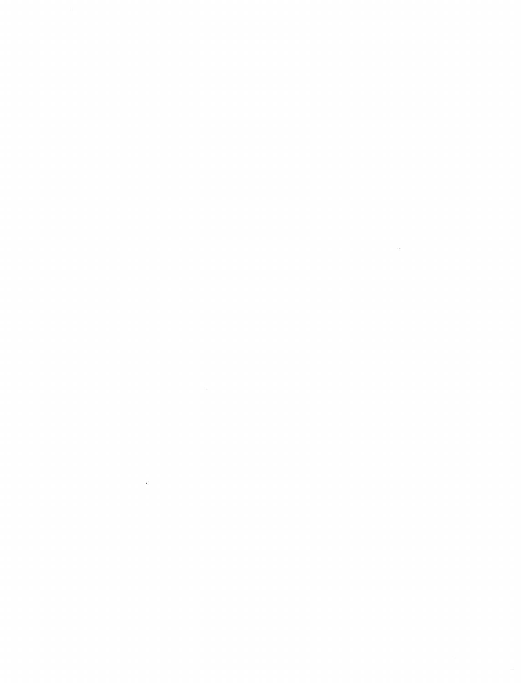$\label{eq:2.1} \frac{1}{\sqrt{2}}\int_{\mathbb{R}^3}\frac{1}{\sqrt{2}}\left(\frac{1}{\sqrt{2}}\right)^2\frac{1}{\sqrt{2}}\left(\frac{1}{\sqrt{2}}\right)^2\frac{1}{\sqrt{2}}\left(\frac{1}{\sqrt{2}}\right)^2\frac{1}{\sqrt{2}}\left(\frac{1}{\sqrt{2}}\right)^2.$  $\label{eq:2.1} \frac{1}{\sqrt{2}}\int_{\mathbb{R}^3}\frac{1}{\sqrt{2}}\left(\frac{1}{\sqrt{2}}\right)^2\frac{1}{\sqrt{2}}\left(\frac{1}{\sqrt{2}}\right)^2\frac{1}{\sqrt{2}}\left(\frac{1}{\sqrt{2}}\right)^2.$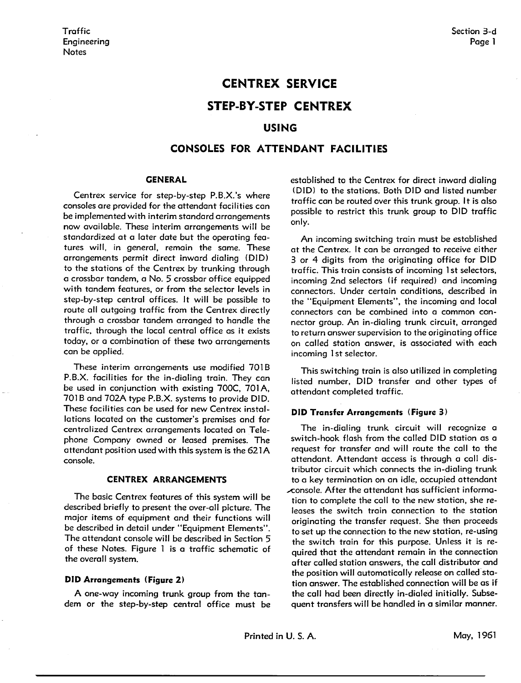# **CENTREX SERVICE STEP-BY-STEP CENTREX**

## **USING**

## **CONSOLES FOR ATTENDANT FACILITIES**

#### **GENERAL**

Centrex service for step-by-step P.B.X.'s where consoles are provided for the attendant facilities can be implemented with interim standard arrangements now available. These interim arrangements will be standardized at a later date but the operating features will, in general, remain the same. These arrangements permit direct inward dialing (DID) to the stations of the Centrex by trunking through a crossbar tandem, a No. 5 crossbar office equipped with tandem features, or from the selector levels in step-by-step central offices. It will be possible to route all outgoing traffic from the Centrex directly through a crossbar tandem arranged to handle the traffic, through the local central office as it exists today, or a combination of these two arrangements can be applied.

These interim arrangements use modified 701B P.B.X. facilities for the in-dialing train. They can be used in conjunction with existing 700C, 701A, 701B and 702A type P.B.X. systems to provide DID. These facilities can be used for new Centrex installations located on the customer's premises and for centralized Centrex arrangements located on Telephone Company owned or leased premises. The attendant position used with this system is the 621 A console.

#### **CENTREX ARRANCEMENTS**

The basic Centrex features of this system will be described briefly to present the over-all picture. The major items of equipment and their functions will be described in detail under "Equipment Elements". The attendant console will be described in Section 5 of these Notes. Figure l is a traffic schematic of the overall system.

#### **DID Arrangements (Figure 2)**

A one-way incoming trunk group from the tandem or the step-by-step central office must be established to the Centrex for direct inward dialing (DID) to the stations. Both DID and listed number traffic can be routed over this trunk group. It is also possible to restrict this trunk group to DID traffic only.

An incoming switching train must be established at the Centrex. It can be arranged to receive either 3 or 4 digits from the originating office for DID traffic. This train consists of incoming 1st selectors, incoming 2nd selectors (if required) and incoming connectors. Under certain conditions, described in the "Equipment Elements", the incoming and local connectors can be combined into a common connector group. An in-dialing trunk circuit, arranged to return answer supervision to the originating office on called *station* answer, is associated with each incoming l st selector.

This switching train is also utilized in completing listed number, DID transfer and other types of attendant completed traffic.

#### **DID Transfer Arrangements ( Figure 3)**

The in-dialing trunk circuit will recognize a switch-hook flash from the called DID station as a request for transfer and will route the call to the attendant. Attendant access is through a call distributor circuit which connects the in-dialing trunk to a key termination on an idle, occupied attendant  $\lambda$  console. After the attendant has sufficient information to complete the call to the new station, she releases the switch train connection to the station originating the transfer request. She then proceeds to set up the connection to the new station, re-using the switch train for this purpose. Unless it is required that the attendant remain in the connection after called station answers, the call distributor and the position will automatically release on called station answer. The established connection will be as if the call had been directly in-dialed initially. Subsequent transfers will be handled in a similar manner.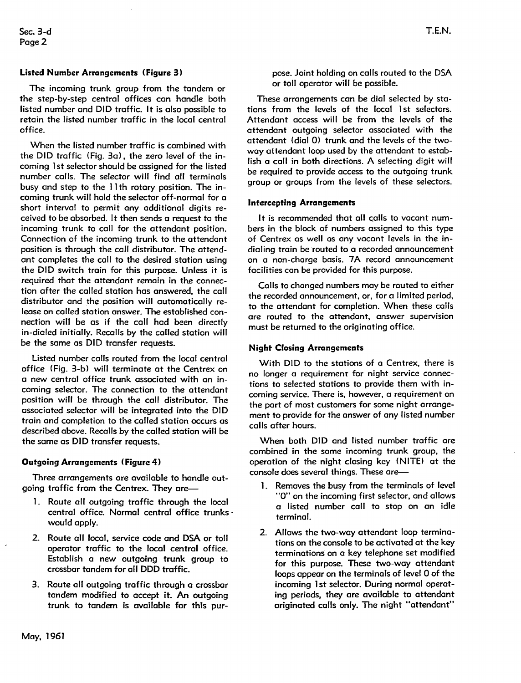#### **Listed Number Arrangements** ( **Figure 3)**

The incoming trunk group from the tandem or the step-by-step central offices can handle both listed number and DID traffic. It is also possible to retain the listed number traffic in the local central office.

When the listed number traffic is combined with the DID traffic (Fig. 3a), the zero level of the incoming 1st selector should be assigned for the listed number calls. The selector will find all terminals busy and step to the 11th rotary position. The incoming trunk will hold the selector off-normal for a short interval to permit any additional digits received to be absorbed. It then sends a request to the incoming trunk to call for the attendant position. Connection of the incoming trunk to the attendant position is through the call distributor. The attendant completes the call to the desired station using the DID switch train for this purpose. Unless it is required that the attendant remain in the connection after the called station has answered, the call distributor and the position will automatically release on called station answer. The established connection will be as if the call had been directly in-dialed initially. Recalls by the called station will be the same as DID transfer requests.

Listed number calls routed from the local central office (Fig. 3-b) will terminate at the Centrex on a new central office trunk associated with an incoming selector. The connection to the attendant position will be through the call distributor. The associated selector will be integrated into the DID train and completion to the called station occurs as described above. Recalls by the called station will be the same as DID transfer requests.

#### **Outgoing Arrangements** ( **Figure 4)**

Three arrangements ore available to handle outgoing traffic from the Centrex. They are-

- 1. Route all outgoing traffic through the local central office. Normal central office trunks • would apply.
- 2. Route all local, service code and DSA or toll operator traffic to the local central office. Establish a new outgoing trunk group to crossbar tandem for all DDD traffic.
- 3. Route all outgoing traffic through a crossbar tandem modified to accept it. An outgoing trunk to tandem is available for this pur-

pose. Joint holding on calls routed to the DSA or toll operator will be possible.

These arrangements can be dial selected by stations from the levels of the local 1st selectors. Attendant access will be from the levels of the attendant outgoing selector associated with the attendant (dial 0) trunk and the levels of the twoway attendant loop used by the attendant to establish a call in both directions. A selecting digit will be required to provide access to the outgoing trunk group or groups from the levels of these selectors.

#### **Intercepting Arrangements**

It is recommended that all calls to vacant numbers in the block of numbers assigned to this type of Centrex as well as any vacant levels in the indialing train be routed to a recorded announcement on a non-charge basis. 7A record announcement facilities can be provided for this purpose.

Calls to changed numbers may be routed to either the recorded announcement, or, for a limited period, to the attendant for completion. When these calls are routed to the attendant, answer supervision must be returned to the originating office.

#### **Night Closing Arrangements**

With DID to the stations of a Centrex, there is no longer a requirement for night service connections to selected stations to provide them with incoming service. There is, however, a requirement on the part of most customers for some night arrangement to provide for the answer of any listed number calls after hours.

When both DID and listed number traffic are combined in the same incoming trunk group, the operation of the night closing key (NITE) at the console does several things. These are-

- **1.** Removes the busy from the terminals of level "O" on the incoming first selector, and allows a listed number call to stop on an idle terminal.
- 2. **Allows** the **two-way** attendant loop terminations on the console to be activated at the key terminations on a key telephone set modified for this purpose. These two-way attendant loops appear on the terminals of level O of the incoming 1st selector. During normal operating periods, they are available to attendant originated calls only. The night "attendant"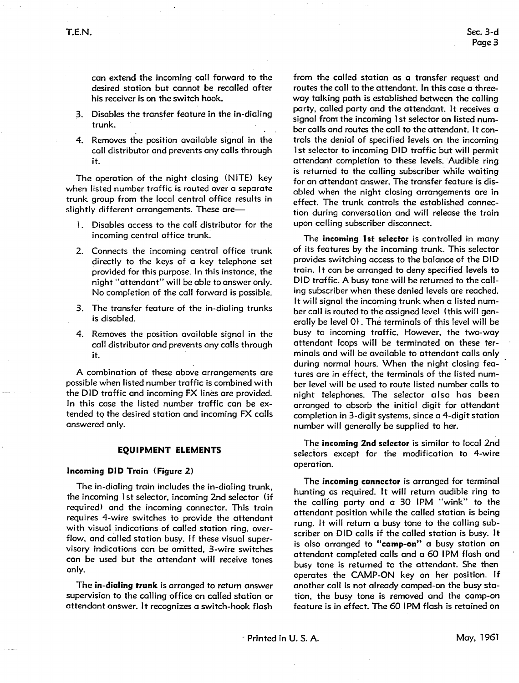can extend the incoming call forward to the desired station but cannot be recalled after his receiver is on the switch hook.

- 3. Disables the transfer feature in the in-dialing trunk.
- 4. Removes the position available signal in the call distributor and prevents any calls through it.

The operation of the night closing (NITE) key when listed number traffic is routed over a separate trunk group from the local central office results in slightly different arrangements. These are-

- 1. Disables access to the call distributor for the incoming central office trunk.
- 2. Connects the incoming central office trunk directly to the keys of a key telephone set provided for this purpose. In this instance, the night "attendant" will be able to answer only. No completion of the call forward is possible.
- 3. The transfer feature of the in-dialing trunks is disabled.
- 4. Removes the position available signal in the call distributor and prevents any calls through it.

A combination of these above arrangements are possible when listed number traffic is combined with the DID traffic and incoming FX lines ore provided. In this case the listed number traffic can be extended to the desired station and incoming FX calls answered only.

#### **EQUIPMENT ELEMENTS**

#### **Incoming DID Train (Figure 2)**

The in-dialing train includes the in-dialing trunk, the incoming l st selector, incoming 2nd selector ( if required) and the incoming connector. This train requires 4-wire switches to provide the attendant with visual indications of called station ring, overflow, and called station busy. If these visual supervisory indications can be omitted, 3-wire switches can be used but the attendant will receive tones only.

The **in-dialing trunk** is arranged to return answer supervision to the calling office on called station or attendant answer. It recognizes a switch-hook flash

from the called station as a transfer request and routes the call to the attendant. In this case a threeway talking path is established between the calling party, called party and the attendant. It receives a signal from the incoming l st selector on listed number calls and routes the call to the attendant. It controls the denial of specified levels on the incoming l st selector to incoming DID traffic but will permit attendant completion to these levels. Audible ring is returned to the calling subscriber while waiting for an attendant answer. The transfer feature is disabled when the night closing arrangements are in effect. The trunk controls the established connection during conversation and will release the train upon calling subscriber disconnect.

The **incoming 1st selector** is controlled in many of its features by the incoming trunk. This selector provides switching access to the balance of the DID train. It can be arranged to deny specified levels to DID traffic. A busy tone will be returned to the calling subscriber when these denied levels are reached. It will signal the incoming trunk when a listed number call is routed to the assigned level ( this will generally be level 0) . The terminals of this level will be busy to incoming traffic. However, the two-way attendant loops will be terminated on these terminals and will be available to attendant calls only during normal hours. When the night closing features are in effect, the terminals of the listed number level will be used to route listed number calls to night telephones. The selector also has been arranged to absorb the initial digit for attendant completion in 3-digit systems, since a 4-digit station number will generally be supplied to her.

The **incoming 2nd selector** is similar to local 2nd selectors except for the modification to 4-wire operation.

The **incoming connector** is arranged for terminal hunting as required. It will return audible ring to the calling party and a 30 1PM "wink" to the attendant position while the called station is being rung. It will return a busy tone to the calling subscriber on DID calls if the called station is busy. It is also arranged to **"camp-on"** a busy station on attendant completed calls and a 60 1PM flash and busy tone is returned to the attendant. She then operates the CAMP-ON key on her position. If another call is not already camped-on the busy station, the busy tone is removed and the camp-on feature is in effect. The 60 1PM flash is retained on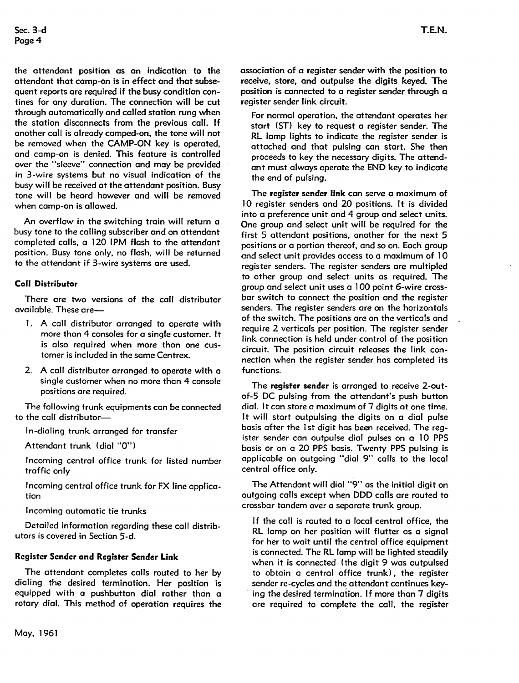the attendant position as an indication to the attendant that camp-on is in effect and that subsequent reports ore required if the busy condition contines for any duration. The connection will be cut through automatically and called station rung when the station disconnects from the previous call. If another call is already camped-on, the tone will not be removed when the **CAMP-ON** key is operated, and camp-on is denied. This feature is controlled over the "sleeve" connection and may be provided in 3-wire systems but no visual indication of the busy will be received at the attendant position. Busy tone will be heord however and will be removed when camp-on is allowed.

An overflow in the switching train will return a busy tone to the calling subscriber and on attendant completed calls, a 120 1PM flash to the attendant position. Busy tone only, no flash, will be returned to the attendant if 3-wire systems are used.

#### **Call Distributor**

There are two versions of the call distributor available. These are-

- 1. A call distributor arranged to operate with more than 4 consoles for a single customer. It is also required when more than one customer is included in the same Centrex.
- 2. A call distributor arranged to operate with a single customer when no more than 4 console positions are required.

The following trunk equipments can be connected to the call distributor-

1 n-dialing trunk arranged for transfer

Attendant trunk (dial "0")

Incoming central office trunk for listed number traffic only

Incoming central office trunk for FX line application

Incoming automatic tie trunks

Detailed information regarding these call distributors is covered in Section 5-d.

#### **Register Sender and Register Sender Link**

The attendant completes calls routed to her by dialing the desired termination. Her position is equipped with a pushbutton dial rather than a rotary dial. This method of operation requires the association of a register sender with the position to receive, store, and outpulse the digits keyed. The position is connected to a register sender through a register sender link circuit.

For normal operation, the attendant operates her start (ST) key to request a register sender. The RL lamp lights to indicate the register sender is attached and that pulsing can start. She then proceeds to key the necessary digits. The attendant must always operate the END key to indicate the end of pulsing.

The **register sender link** can serve a maximum of 10 register senders and 20 positions. It is divided into a preference unit and 4 group and select units. One group and select unit will be required for the first 5 attendant positions, another for the next 5 positions or a portion thereof, and so on. Each group and select unit provides access to a maximum of 10 register senders. The register senders ore multipled to other group and select units as required. The group and select unit uses a 100 point 6-wire crossbar switch to connect the position and the register senders. The register senders ore on the horizontals of the switch. The positions are on the verticals and require 2 verticals per position. The register sender link connection is held under control of the position circuit. The position circuit releases the link connection when the register sender has completed its functions.

The **register sender** is arranged to receive 2-outof-5 DC pulsing from the attendant's push button dial. It can store a maximum of 7 digits at one time. It will start outpulsing the digits on a dial pulse basis after the 1st digit has been received. The register sender can outpulse dial pulses on a 10 PPS basis or on a 20 PPS basis. Twenty PPS pulsing is applicable on outgoing "dial 9" calls to the local central office only.

The Attendant will dial "9" as the initial digit on outgoing calls except when DDD calls are routed to crossbar tandem over a separate trunk group.

If the call is routed to a local central office, the RL lamp on her position will flutter as a signal for her to wait until the central office equipment is connected. The RL lamp will be lighted steadily when it is connected (the digit 9 was outpulsed to obtain a central office trunk), the register sender re-cycles and the attendant continues key- . ing the desired termination. If more than 7 digits are required to complete the call, the register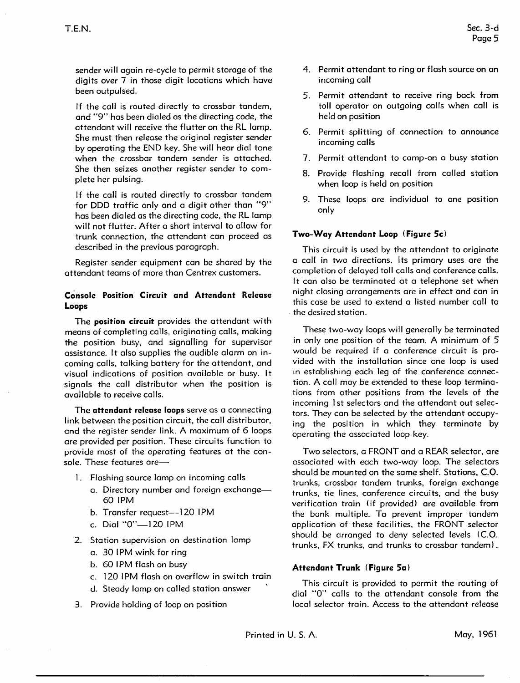sender will again re-cycle to permit storage of the digits over 7 in those digit locations which have been outpulsed.

If the call is routed directly to crossbar tandem, and "9" has been dialed as the directing code, the attendant will receive the flutter on the RL lamp. She must then release the original register sender by operating the END key. She will hear dial tone when the crossbar tandem sender is attached. She then seizes another register sender to complete her pulsing.

If the call is routed directly to crossbar tandem for DDD traffic only and a digit other than "9" has been dialed as the directing code, the RL lamp will not flutter. After a short interval to allow for trunk connection, the attendant can proceed as described in the previous paragraph.

Register sender equipment can be shared by the attendant teams of more than Centrex customers.

### **Console Position Circuit and Attendant Release Loops**

The **position circuit** provides the attendant with means of completing calls, originating calls, making the position busy, and signalling for supervisor assistance. It also supplies the audible alarm on incoming calls, talking battery for the attendant, and visual indications of position available or busy. It signals the call distributor when the position is available to receive calls.

The **attendant release loops** serve as a connecting link between the position circuit, the call distributor, and the register sender link. A maximum of 6 loops are provided per position. These circuits function to provide most of the operating features at the console. These features are-

- 1. Flashing source lamp on incoming calls
	- a. Directory number and foreign exchange-60 1PM
	- b. Transfer request-120 IPM
	- c. Dial "0"-120 IPM
- 2. Station supervision on destination lamp a. 30 IPM wink for ring
	- b. 60 IPM flash on busy
	- c. 120 1PM flash on overflow in switch train
	- d. Steady lamp on called station answer
- 3. Provide holding of loop on position
- 4. Permit attendant to ring or flash source on an incoming call
- 5. Permit attendant to receive ring back from toll operator on outgoing calls when call is held on position
- 6. Permit splitting of connection to announce incoming calls
- 7. Permit attendant to camp-on a busy station
- 8. Provide flashing recall from called station when loop is held on position
- 9. These loops are individual to one position only

## **Two-Way Attendant Loop (Figure 5c)**

This circuit is used by the attendant to originate a call in two directions. Its primary uses are the completion of delayed toll calls and conference calls. It can also be terminated at a telephone set when night closing arrangements are in effect and can in this case be used to extend a listed number call to the desired station.

These two-way loops will generally be terminated in only one position of the team. A minimum of 5 would be required if a conference circuit is provided with the installation since one loop is used in establishing each leg of the conference connection. A call may be extended to these loop terminations from other positions from the levels of the incoming 1st selectors and the attendant out selectors. They can be selected by the attendant occupying the position in which they terminate by operating the associated loop key.

Two selectors, a FRONT and a REAR selector, are associated with each two-way loop. The selectors should be mounted on the same shelf. Stations, C.O. trunks, crossbar tandem trunks, foreign exchange trunks, tie lines, conference circuits, and the busy verification train (if provided) are available from the bank multiple. To prevent improper tandem application of these facilities, the FRONT selector should be arranged to deny selected levels (C.O. trunks, FX trunks, and trunks to crossbar tandem) .

## **Attendant Trunk ( Figure 5a)**

This circuit is provided to permit the routing of dial "O" calls to the attendant console from the local selector train. Access to the attendant release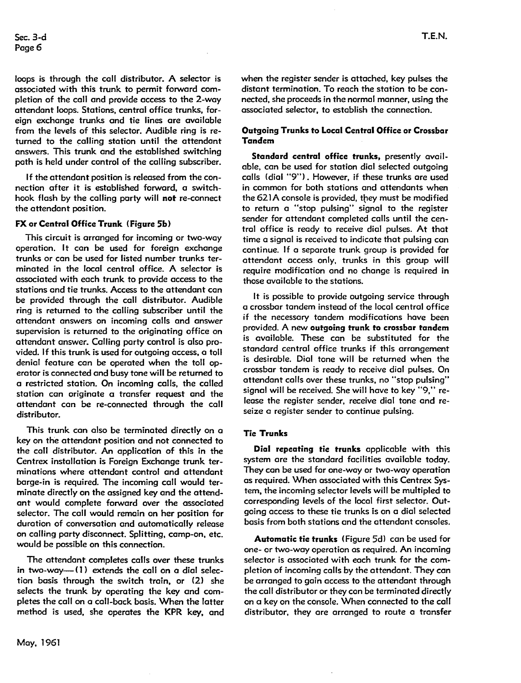loops is through the call distributor. A selector is associated with this trunk to permit forward completion of the call and provide access to the 2-way attendant loops. Stations, central office trunks, foreign exchange trunks and tie lines are available from the levels of this selector. Audible ring is returned to the calling station until the attendant answers. This trunk and the established switching path is held under control of the calling subscriber.

If the attendant position is released from the connection after it is established forward, a switchhook flash by the calling party will **not** re-connect the attendant position.

#### **FX or Central Office Trunk (Figure Sb)**

This circuit is arranged for incoming or two-way operation. It can be used for foreign exchange trunks or can be used for listed number trunks terminated in the local central office. A selector is associated with each trunk to provide access to the stations and tie trunks. Access to the attendant can be provided through the call distributor. Audible ring is returned to the calling subscriber until the attendant answers on incoming calls and answer supervision is returned to the originating office on attendant answer. Calling party control is also provided. If this trunk is used for outgoing access, a toll denial feature can be operated when the toll operator is connected and busy tone will be returned to a restricted station. On incoming calls, the called station can originate a transfer request and the attendant can be re-connected through the call distributor.

This trunk can also be terminated directly on a key on the attendant position and not connected to the call distributor. An application of this in the Centrex installation is Foreign Exchange trunk terminations where attendant control and attendant barge-in is required. The incoming call would terminate directly on the assigned key and the attendant would complete forward over the associated selector. The call would remain on her position for duration of conversation and automatically release on calling party disconnect. Splitting, camp-on, etc. would be possible on this connection.

The attendant completes calls over these trunks in two-way- $(1)$  extends the call on a dial selection basis through the switch train, or (2) she selects the trunk by operating the key and completes the call on a call-back basis. When the latter method is used, she operates the KPR key, and when the register sender is attached, key pulses the distant termination. To reach the station to be connected, she proceeds in the normal manner, using the associated selector, to establish the connection.

#### **Outgoing Trunks to Local Central Office or Crossbar Tandem**

**Standard central office trunks,** presently available, can be used for station dial selected outgoing calls (dial "9"). However, if these trunks are used in common for both stations and attendants when the 621A console is provided, they must be modified to return a "stop pulsing" signal to the register sender for attendant completed calls until the central office is ready to receive dial pulses. At that time a signal is received to indicate that pulsing can continue. If a separate trunk group is provided for attendant access only, trunks in this group will require modification and no change is required in those available to the stations.

It is possible to provide outgoing service through a crossbar tandem instead of the local central office if the necessary tandem modifications have been provided. A new **outgoing trunk to crossbar tandem**  is available. These can be substituted for the standard central office trunks if this arrangement is desirable. Dial tone will be returned when the crossbar tandem is ready to receive dial pulses. On attendant calls over these trunks, no "stop pulsing" signal will be received. She will have to key "9," release the register sender, receive dial tone and reseize a register sender to continue pulsing.

#### **Tie Trunks**

**Dial repeating tie trunks** applicable with this system are the standard facilities available today. They can be used for one-way or two-way operation as required. When associated with this Centrex System, the incoming selector levels will be multipled to corresponding levels of the local first selector. Outgoing access to these tie trunks is on a dial selected basis from both stations and the attendant consoles.

**Automatic tie trunks** (Figure 5d) can be used for one- or two-way operation as required. An incoming selector is associated with each trunk for the completion of incoming calls by the attendant. They can be arranged to gain access to the attendant through the call distributor or they can be terminated directly on a key on the console. When connected to the call distributor, they are arranged to route a transfer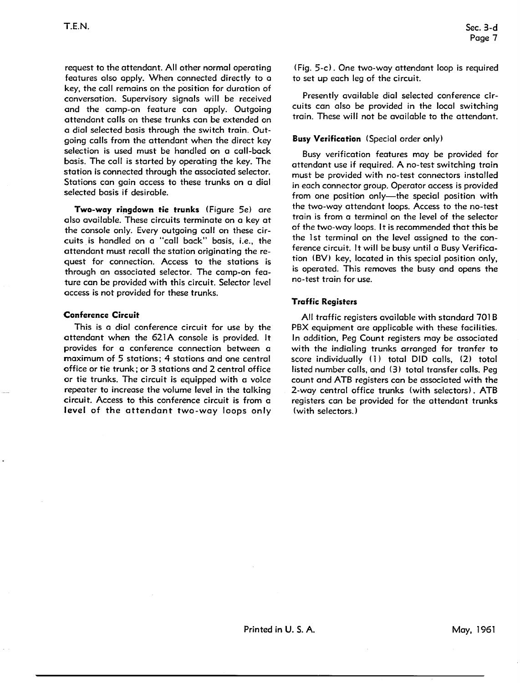request to the attendant. All other normal operating features also apply. When connected directly to a key, the call remains on the position for duration of conversation. Supervisory signals will be received and the camp-on feature can apply. Outgoing attendant calls on these trunks can be extended on a dial selected basis through the switch train. Outgoing calls from the attendant when the direct key selection is used must be handled on a call-back basis. The call is started by operating the key. The station is connected through the associated selector. Stations can gain access to these trunks on a dial selected basis if desirable.

**Two-way ringdown tic trunks** (Figure Se) are also available. These circuits terminate on a key at the console only. Every outgoing call on these circuits is handled on a "call back" basis, i.e., the attendant must recall the station originating the request for connection. Access to the stations is through an associated selector. The camp-on feature can be provided with this circuit. Selector level access is not provided for these trunks.

#### **Conference Circuit**

This is a dial conference circuit for use by the attendant when the 621A console is provided. It provides for a conference connection between a maximum of 5 stations; 4 stations and one central office or tie trunk; or 3 stations and 2 central office or tie trunks. The circuit is equipped with a voice repeater to increase the volume level in the talking circuit. Access to this conference circuit is from a **level** of the attendant two-way loops only ( Fig. 5-cl. One two-way attendant loop is required to set up each leg of the circuit.

Presently available dial selected conference circuits can also be provided in the local switching train. These will not be available to the attendant.

#### **Busy Verification** (Special order only)

Busy verification features may be provided for attendant use if required. A no-test switching train must be provided with no-test connectors installed in each connector group. Operator access is provided from one position only-the special position with the two-way attendant loops. Access to the no-test train is from a terminal on the level of the selector of the two-way loops. It is recommended that this be the 1st terminal on the level assigned to the conference circuit. It will be busy until a Busy Verification (BV) key, located in this special position only, is operated. This removes the busy and opens the no-test train for use.

#### **Traffic Registers**

All traffic registers available with standard 7018 PBX equipment ore applicable with these facilities. In addition, Peg Count registers may be associated with the indialing trunks arranged for tranfer to score individually (1) total DID calls, (2) total listed number calls, and (3) total transfer calls. Peg count and ATB registers can be associated with the 2-way central office trunks (with selectors). ATB registers can be provided for the attendant trunks ( with selectors.)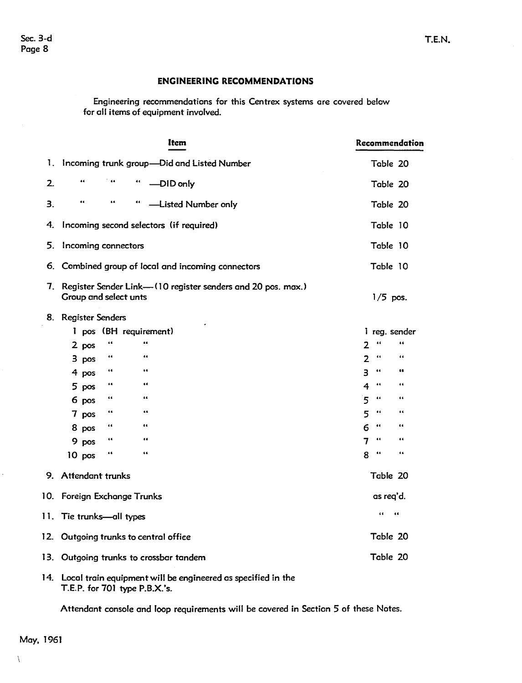## **ENCINEERINC RECOMMENDATIONS**

Engineering recommendations for this Centrex systems ore covered below for all items of equipment involved.

|     | Item                                                                                           | Recommendation                                           |  |  |  |  |  |
|-----|------------------------------------------------------------------------------------------------|----------------------------------------------------------|--|--|--|--|--|
| 1.  | Incoming trunk group—Did and Listed Number                                                     | Table 20                                                 |  |  |  |  |  |
| 2.  | $\pmb{\epsilon}\pmb{\epsilon}$<br>1 ss<br>" -DID only                                          | Table 20                                                 |  |  |  |  |  |
| 3.  | $\pmb{\epsilon}$<br>$\pmb{\epsilon}\pmb{\epsilon}$<br>$\epsilon$<br><b>-Listed Number only</b> | Table 20                                                 |  |  |  |  |  |
| 4.  | Incoming second selectors (if required)                                                        | Table 10                                                 |  |  |  |  |  |
| 5.  | Incoming connectors                                                                            | Table 10                                                 |  |  |  |  |  |
|     | 6. Combined group of local and incoming connectors                                             | Table 10                                                 |  |  |  |  |  |
|     | 7. Register Sender Link-(10 register senders and 20 pos. max.)<br>Group and select unts        | $1/5$ pos.                                               |  |  |  |  |  |
|     | 8. Register Senders                                                                            |                                                          |  |  |  |  |  |
|     | 1 pos (BH requirement)                                                                         | 1 reg. sender                                            |  |  |  |  |  |
|     | $\bullet$<br>$\epsilon\,\epsilon$<br>$2$ pos                                                   | $\pmb{\epsilon}\pmb{\epsilon}$<br>66<br>2                |  |  |  |  |  |
|     | œ<br>$\pmb{\epsilon}\pmb{\epsilon}$<br>3 pos                                                   | $\pmb{\epsilon}$<br>$\pmb{\epsilon}\pmb{\epsilon}$<br>2  |  |  |  |  |  |
|     | $\epsilon$ $\epsilon$<br>66<br>$4$ pos                                                         | œ<br>$\bullet\bullet$<br>3                               |  |  |  |  |  |
|     | $\epsilon$<br>66<br>$5$ pos                                                                    | $\bullet\bullet$<br>66<br>4                              |  |  |  |  |  |
|     | 66<br>65<br>6 pos                                                                              | $\pmb{\epsilon}\pmb{\epsilon}$<br>5<br>$\cdots$          |  |  |  |  |  |
|     | $\pmb{\epsilon}$<br>$\pmb{\epsilon}$<br>7 pos                                                  | $\epsilon$<br>5<br>$\bullet \bullet$                     |  |  |  |  |  |
|     | $\epsilon$<br>$\epsilon$<br>8 pos                                                              | œ<br>$\bullet\bullet$<br>6                               |  |  |  |  |  |
|     | $\epsilon$<br>$\epsilon$<br>9 pos                                                              | $\pmb{\epsilon}\pmb{\epsilon}$<br>$\bullet \bullet$<br>7 |  |  |  |  |  |
|     | $\pmb{\epsilon}\pmb{\epsilon}$<br>$\epsilon$<br>10 <sub>pos</sub>                              | $\pmb{\epsilon}$<br>$\epsilon$<br>8                      |  |  |  |  |  |
|     | 9. Attendant trunks                                                                            | Table 20                                                 |  |  |  |  |  |
|     | 10. Foreign Exchange Trunks                                                                    | as req'd.                                                |  |  |  |  |  |
|     | 11. Tie trunks-all types                                                                       | $\epsilon$<br>$\bullet$                                  |  |  |  |  |  |
| 12. | Table 20<br>Outgoing trunks to central office                                                  |                                                          |  |  |  |  |  |
|     | Table 20<br>13. Outgoing trunks to crossbar tandem                                             |                                                          |  |  |  |  |  |
|     | 14. Local train equipment will be engineered as specified in the                               |                                                          |  |  |  |  |  |

T.E.P. for 701 type P.B.X.'s.

Attendant console and loop requirements will be covered in Section 5 of these Notes.

 $\setminus$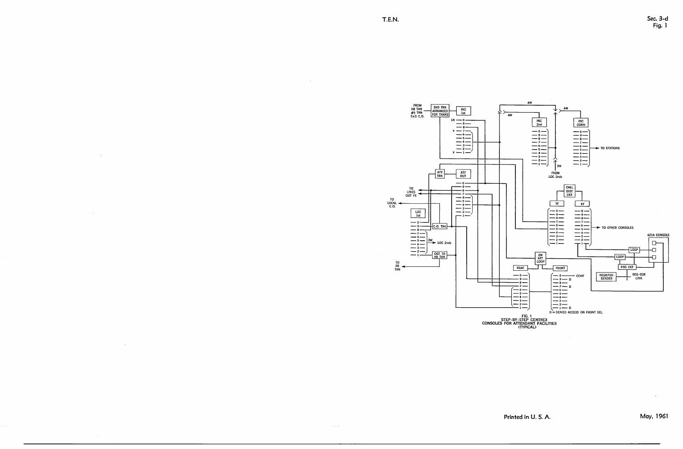$\mathcal{A}^{\mathcal{A}}$  and

 $\sim 10^7$ 

 $\sim$ 

 $\mathcal{L}_{\rm{eff}}$ 

 $\omega_{\rm{eff}}$  .



**Printed in U. S. A** 

**May, 1961** 

 $\sim$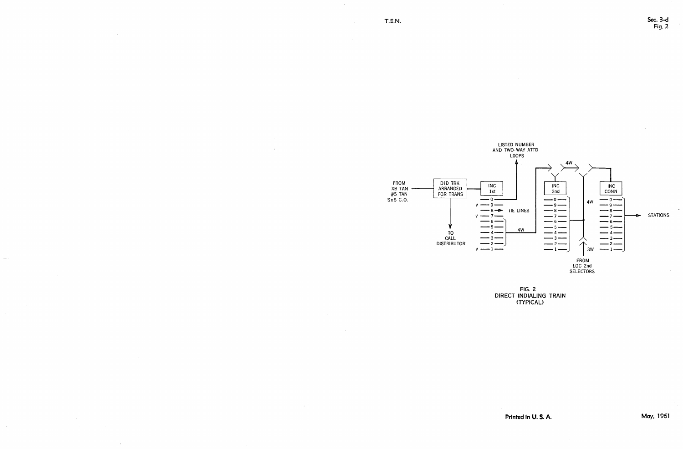$\sim$   $\sim$ 

 $\sim$ 

 $\sim$ 

 $\mathcal{L}_{\mathcal{A}}$ 

 $\sim 10^{-1}$ 

 $\sim$ 

 $\sim$ 

FROM<br>XB TAN<br>#5 TAN<br>SxS C.O.

DID TRK<br>ARRANGED

FOR TRANS

TO

CALL<br>DISTRIBUTOR

**INC** 

 $1st$ 

 $-6$  —

 $-5-$ 

 $\mathbf{u}$ 

 $-0-$ 

 $\sim 10^7$ 

T.E.N.

 $\sim 10^7$ 





Printed in U.S.A.

May, 1961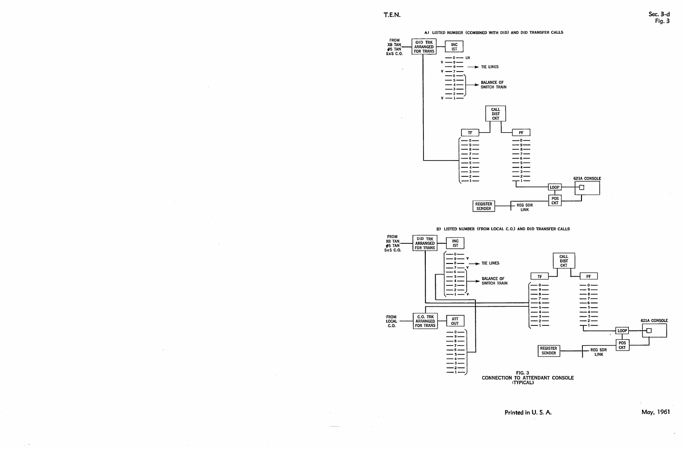$\sim$ 

 $\omega_{\rm c}=\omega_{\rm c}$  =

A) LISTED NUMBER (COMBINED WITH DID) AND DID TRANSFER CALLS



**Printed** in **U. S. A.**   $\sim$ 



B) LISTED NUMBER (FROM LOCAL C.O.) AND DID TRANSFER CALLS

May, 1961

 $\sim$ 

H.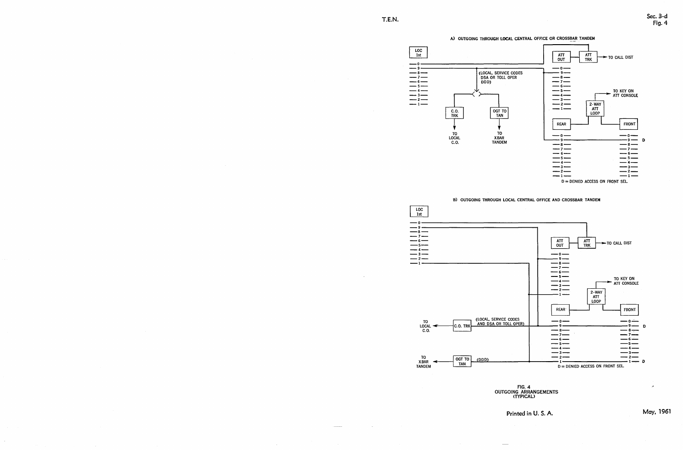### T.E.N.



B) OUTGOING THROUGH LOCAL CENTRAL OFFICE AND CROSSBAR TANDEM

| <b>LOC</b><br>1st            |  |  |
|------------------------------|--|--|
| $\longrightarrow$ 0<br>$-9-$ |  |  |
| $-$ 8 $-$                    |  |  |
| $-7-$<br>$-6-$               |  |  |
| $-5-$<br>$-4-$               |  |  |
| $-3-$<br>$-2-$               |  |  |
| — 1                          |  |  |





FIG. 4<br>OUTGOING ARRANGEMENTS<br>(TYPICAL)

Printed in U.S.A.

May, 1961

 $\mathcal{F}$